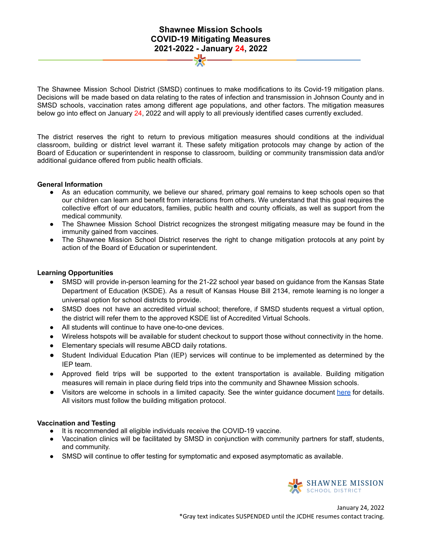# **Shawnee Mission Schools COVID-19 Mitigating Measures 2021-2022 - January 24, 2022**

The Shawnee Mission School District (SMSD) continues to make modifications to its Covid-19 mitigation plans. Decisions will be made based on data relating to the rates of infection and transmission in Johnson County and in SMSD schools, vaccination rates among different age populations, and other factors. The mitigation measures below go into effect on January 24, 2022 and will apply to all previously identified cases currently excluded.

The district reserves the right to return to previous mitigation measures should conditions at the individual classroom, building or district level warrant it. These safety mitigation protocols may change by action of the Board of Education or superintendent in response to classroom, building or community transmission data and/or additional guidance offered from public health officials.

#### **General Information**

- As an education community, we believe our shared, primary goal remains to keep schools open so that our children can learn and benefit from interactions from others. We understand that this goal requires the collective effort of our educators, families, public health and county officials, as well as support from the medical community.
- The Shawnee Mission School District recognizes the strongest mitigating measure may be found in the immunity gained from vaccines.
- The Shawnee Mission School District reserves the right to change mitigation protocols at any point by action of the Board of Education or superintendent.

#### **Learning Opportunities**

- SMSD will provide in-person learning for the 21-22 school year based on guidance from the Kansas State Department of Education (KSDE). As a result of Kansas House Bill 2134, remote learning is no longer a universal option for school districts to provide.
- SMSD does not have an accredited virtual school; therefore, if SMSD students request a virtual option, the district will refer them to the approved KSDE list of Accredited Virtual Schools.
- **●** All students will continue to have one-to-one devices.
- Wireless hotspots will be available for student checkout to support those without connectivity in the home.
- Elementary specials will resume ABCD daily rotations.
- Student Individual Education Plan (IEP) services will continue to be implemented as determined by the IEP team.
- Approved field trips will be supported to the extent transportation is available. Building mitigation measures will remain in place during field trips into the community and Shawnee Mission schools.
- Visitors are welcome in schools in a limited capacity. See the winter guidance document here for details. All visitors must follow the building mitigation protocol.

#### **Vaccination and Testing**

- It is recommended all eligible individuals receive the COVID-19 vaccine.
- Vaccination clinics will be facilitated by SMSD in conjunction with community partners for staff, students, and community.
- SMSD will continue to offer testing for symptomatic and exposed asymptomatic as available.

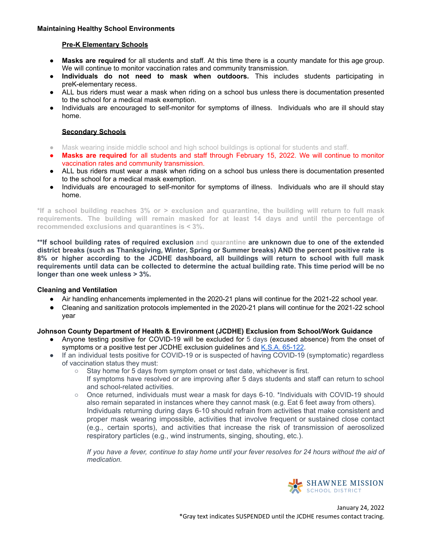#### **Maintaining Healthy School Environments**

#### **Pre-K Elementary Schools**

- **Masks are required** for all students and staff. At this time there is a county mandate for this age group. We will continue to monitor vaccination rates and community transmission.
- **● Individuals do not need to mask when outdoors.** This includes students participating in preK-elementary recess.
- ALL bus riders must wear a mask when riding on a school bus unless there is documentation presented to the school for a medical mask exemption.
- Individuals are encouraged to self-monitor for symptoms of illness. Individuals who are ill should stay home.

#### **Secondary Schools**

- Mask wearing inside middle school and high school buildings is optional for students and staff.
- **Masks are required** for all students and staff through February 15, 2022. We will continue to monitor vaccination rates and community transmission.
- ALL bus riders must wear a mask when riding on a school bus unless there is documentation presented to the school for a medical mask exemption.
- Individuals are encouraged to self-monitor for symptoms of illness. Individuals who are ill should stay home.

\*If a school building reaches 3% or > exclusion and quarantine, the building will return to full mask **requirements. The building will remain masked for at least 14 days and until the percentage of recommended exclusions and quarantines is < 3%.**

**\*\*If school building rates of required exclusion and quarantine are unknown due to one of the extended district breaks (such as Thanksgiving, Winter, Spring or Summer breaks) AND the percent positive rate is 8% or higher according to the JCDHE dashboard, all buildings will return to school with full mask** requirements until data can be collected to determine the actual building rate. This time period will be no **longer than one week unless > 3%.**

### **Cleaning and Ventilation**

- Air handling enhancements implemented in the 2020-21 plans will continue for the 2021-22 school year.
- Cleaning and sanitization protocols implemented in the 2020-21 plans will continue for the 2021-22 school year

### **Johnson County Department of Health & Environment (JCDHE) Exclusion from School/Work Guidance**

- Anyone testing positive for COVID-19 will be excluded for 5 days (excused absence) from the onset of symptoms or a positive test per JCDHE exclusion guidelines and K.S.A. 65-122.
- If an individual tests positive for COVID-19 or is suspected of having COVID-19 (symptomatic) regardless of vaccination status they must:
	- Stay home for 5 days from symptom onset or test date, whichever is first.
		- If symptoms have resolved or are improving after 5 days students and staff can return to school and school-related activities.
	- Once returned, individuals must wear a mask for days 6-10. \*Individuals with COVID-19 should also remain separated in instances where they cannot mask (e.g. Eat 6 feet away from others). Individuals returning during days 6-10 should refrain from activities that make consistent and proper mask wearing impossible, activities that involve frequent or sustained close contact (e.g., certain sports), and activities that increase the risk of transmission of aerosolized respiratory particles (e.g., wind instruments, singing, shouting, etc.).

If you have a fever, continue to stay home until your fever resolves for 24 hours without the aid of *medication.*

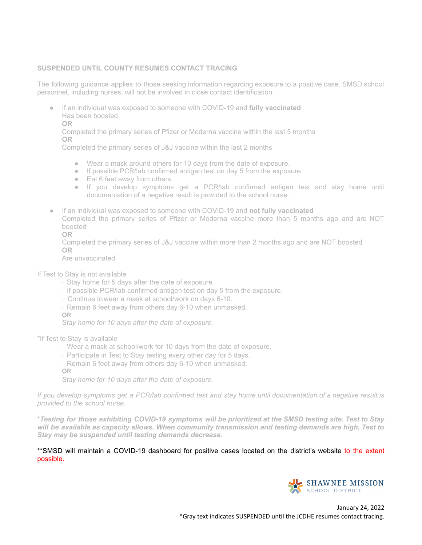### **SUSPENDED UNTIL COUNTY RESUMES CONTACT TRACING**

The following guidance applies to those seeking information regarding exposure to a positive case. SMSD school personnel, including nurses, will not be involved in close contact identification.

- If an individual was exposed to someone with COVID-19 and **fully vaccinated** Has been boosted
	- **OR**

Completed the primary series of Pfizer or Moderna vaccine within the last 5 months **OR**

Completed the primary series of J&J vaccine within the last 2 months

- Wear a mask around others for 10 days from the date of exposure.
- If possible PCR/lab confirmed antigen test on day 5 from the exposure.
- Eat 6 feet away from others.
- If you develop symptoms get a PCR/lab confirmed antigen test and stay home until documentation of a negative result is provided to the school nurse.
- If an individual was exposed to someone with COVID-19 and **not fully vaccinated** Completed the primary series of Pfizer or Moderna vaccine more than 5 months ago and are NOT boosted

**OR**

Completed the primary series of J&J vaccine within more than 2 months ago and are NOT boosted **OR**

Are unvaccinated

- If Test to Stay is not available
	- · Stay home for 5 days after the date of exposure.
	- · If possible PCR/lab confirmed antigen test on day 5 from the exposure.
	- · Continue to wear a mask at school/work on days 6-10.
	- · Remain 6 feet away from others day 6-10 when unmasked.
	- **OR**

*Stay home for 10 days after the date of exposure.*

\*If Test to Stay is available

- · Wear a mask at school/work for 10 days from the date of exposure.
- · Participate in Test to Stay testing every other day for 5 days.
- · Remain 6 feet away from others day 6-10 when unmasked.
- **OR**

*Stay home for 10 days after the date of exposure.*

If you develop symptoms get a PCR/lab confirmed test and stay home until documentation of a negative result is *provided to the school nurse.*

\*Testing for those exhibiting COVID-19 symptoms will be prioritized at the SMSD testing site. Test to Stay *will be available as capacity allows. When community transmission and testing demands are high, Test to Stay may be suspended until testing demands decrease.*

\*\*SMSD will maintain a COVID-19 dashboard for positive cases located on the district's website to the extent possible.

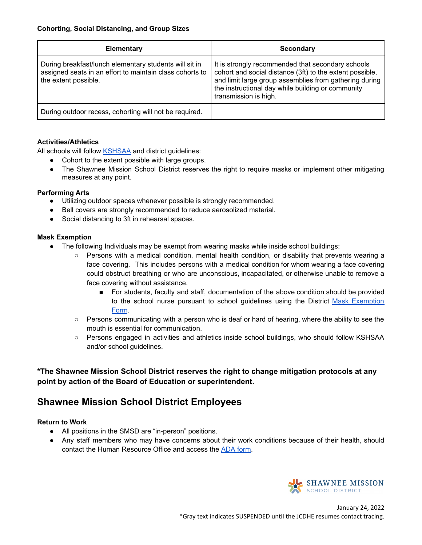| <b>Elementary</b>                                                                                                                          | Secondary                                                                                                                                                                                                                                             |
|--------------------------------------------------------------------------------------------------------------------------------------------|-------------------------------------------------------------------------------------------------------------------------------------------------------------------------------------------------------------------------------------------------------|
| During breakfast/lunch elementary students will sit in<br>assigned seats in an effort to maintain class cohorts to<br>the extent possible. | It is strongly recommended that secondary schools<br>cohort and social distance (3ft) to the extent possible,<br>and limit large group assemblies from gathering during<br>the instructional day while building or community<br>transmission is high. |
| During outdoor recess, cohorting will not be required.                                                                                     |                                                                                                                                                                                                                                                       |

# **Activities/Athletics**

All schools will follow KSHSAA and district guidelines:

- Cohort to the extent possible with large groups.
- The Shawnee Mission School District reserves the right to require masks or implement other mitigating measures at any point.

### **Performing Arts**

- Utilizing outdoor spaces whenever possible is strongly recommended.
- Bell covers are strongly recommended to reduce aerosolized material.
- Social distancing to 3ft in rehearsal spaces.

## **Mask Exemption**

- The following Individuals may be exempt from wearing masks while inside school buildings:
	- Persons with a medical condition, mental health condition, or disability that prevents wearing a face covering. This includes persons with a medical condition for whom wearing a face covering could obstruct breathing or who are unconscious, incapacitated, or otherwise unable to remove a face covering without assistance.
		- For students, faculty and staff, documentation of the above condition should be provided to the school nurse pursuant to school guidelines using the District Mask Exemption Form.
	- Persons communicating with a person who is deaf or hard of hearing, where the ability to see the mouth is essential for communication.
	- Persons engaged in activities and athletics inside school buildings, who should follow KSHSAA and/or school guidelines.

**\*The Shawnee Mission School District reserves the right to change mitigation protocols at any point by action of the Board of Education or superintendent.**

# **Shawnee Mission School District Employees**

### **Return to Work**

- All positions in the SMSD are "in-person" positions.
- Any staff members who may have concerns about their work conditions because of their health, should contact the Human Resource Office and access the ADA form.